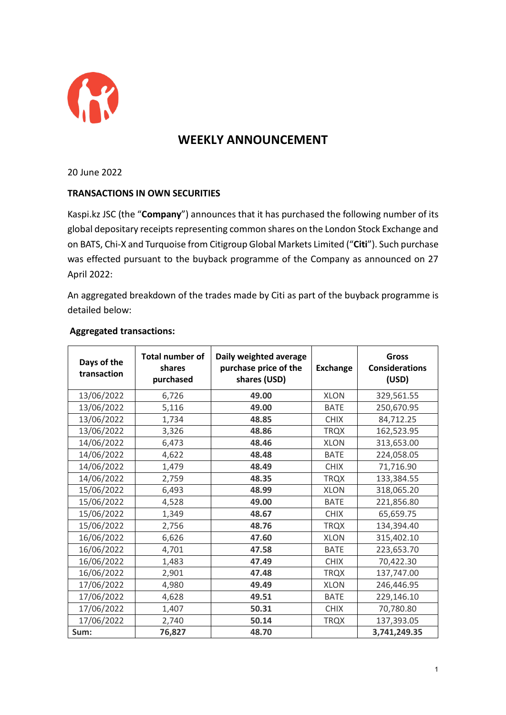

## **WEEKLY ANNOUNCEMENT**

20 June 2022

## **TRANSACTIONS IN OWN SECURITIES**

Kaspi.kz JSC (the "**Company**") announces that it has purchased the following number of its global depositary receipts representing common shares on the London Stock Exchange and on BATS, Chi-X and Turquoise from Citigroup Global Markets Limited ("**Citi**"). Such purchase was effected pursuant to the buyback programme of the Company as announced on 27 April 2022:

An aggregated breakdown of the trades made by Citi as part of the buyback programme is detailed below:

## **Aggregated transactions:**

| Days of the<br>transaction | <b>Total number of</b><br>shares<br>purchased | Daily weighted average<br>purchase price of the<br>shares (USD) | <b>Exchange</b> | Gross<br><b>Considerations</b><br>(USD) |
|----------------------------|-----------------------------------------------|-----------------------------------------------------------------|-----------------|-----------------------------------------|
| 13/06/2022                 | 6,726                                         | 49.00                                                           | <b>XLON</b>     | 329,561.55                              |
| 13/06/2022                 | 5,116                                         | 49.00                                                           | <b>BATE</b>     | 250,670.95                              |
| 13/06/2022                 | 1,734                                         | 48.85                                                           | <b>CHIX</b>     | 84,712.25                               |
| 13/06/2022                 | 3,326                                         | 48.86                                                           | <b>TRQX</b>     | 162,523.95                              |
| 14/06/2022                 | 6,473                                         | 48.46                                                           | <b>XLON</b>     | 313,653.00                              |
| 14/06/2022                 | 4,622                                         | 48.48                                                           | <b>BATE</b>     | 224,058.05                              |
| 14/06/2022                 | 1,479                                         | 48.49                                                           | <b>CHIX</b>     | 71,716.90                               |
| 14/06/2022                 | 2,759                                         | 48.35                                                           | <b>TRQX</b>     | 133,384.55                              |
| 15/06/2022                 | 6,493                                         | 48.99                                                           | <b>XLON</b>     | 318,065.20                              |
| 15/06/2022                 | 4,528                                         | 49.00                                                           | <b>BATE</b>     | 221,856.80                              |
| 15/06/2022                 | 1,349                                         | 48.67                                                           | <b>CHIX</b>     | 65,659.75                               |
| 15/06/2022                 | 2,756                                         | 48.76                                                           | <b>TRQX</b>     | 134,394.40                              |
| 16/06/2022                 | 6,626                                         | 47.60                                                           | <b>XLON</b>     | 315,402.10                              |
| 16/06/2022                 | 4,701                                         | 47.58                                                           | <b>BATE</b>     | 223,653.70                              |
| 16/06/2022                 | 1,483                                         | 47.49                                                           | <b>CHIX</b>     | 70,422.30                               |
| 16/06/2022                 | 2,901                                         | 47.48                                                           | <b>TRQX</b>     | 137,747.00                              |
| 17/06/2022                 | 4,980                                         | 49.49                                                           | <b>XLON</b>     | 246,446.95                              |
| 17/06/2022                 | 4,628                                         | 49.51                                                           | <b>BATE</b>     | 229,146.10                              |
| 17/06/2022                 | 1,407                                         | 50.31                                                           | <b>CHIX</b>     | 70,780.80                               |
| 17/06/2022                 | 2,740                                         | 50.14                                                           | <b>TRQX</b>     | 137,393.05                              |
| Sum:                       | 76,827                                        | 48.70                                                           |                 | 3,741,249.35                            |